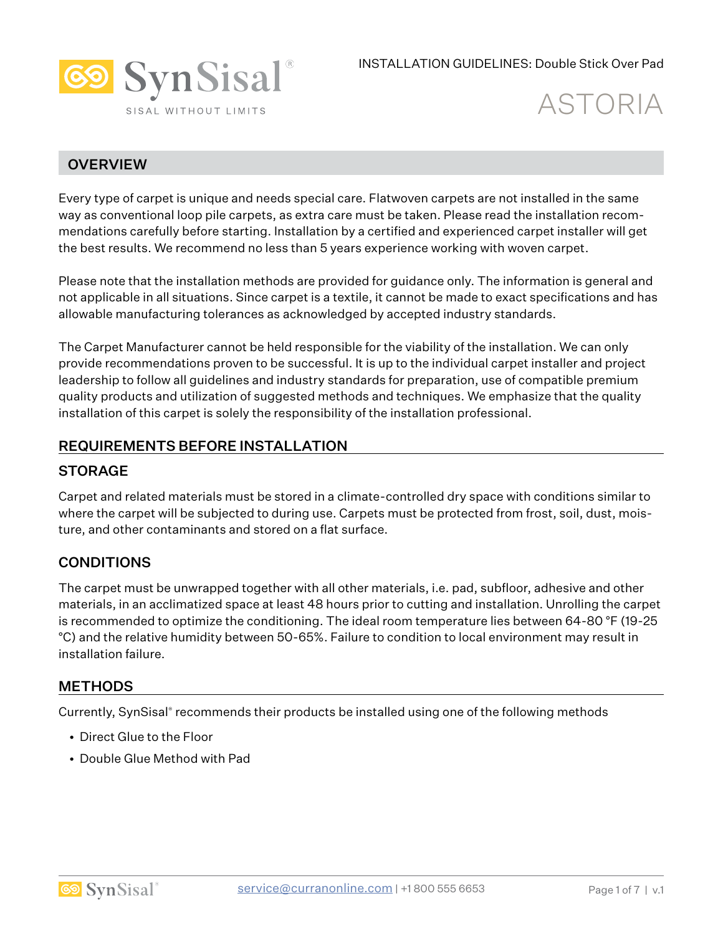

# **OVERVIEW**

Every type of carpet is unique and needs special care. Flatwoven carpets are not installed in the same way as conventional loop pile carpets, as extra care must be taken. Please read the installation recommendations carefully before starting. Installation by a certified and experienced carpet installer will get the best results. We recommend no less than 5 years experience working with woven carpet.

Please note that the installation methods are provided for guidance only. The information is general and not applicable in all situations. Since carpet is a textile, it cannot be made to exact specifications and has allowable manufacturing tolerances as acknowledged by accepted industry standards.

The Carpet Manufacturer cannot be held responsible for the viability of the installation. We can only provide recommendations proven to be successful. It is up to the individual carpet installer and project leadership to follow all guidelines and industry standards for preparation, use of compatible premium quality products and utilization of suggested methods and techniques. We emphasize that the quality installation of this carpet is solely the responsibility of the installation professional.

#### REQUIREMENTS BEFORE INSTALLATION

#### **STORAGE**

Carpet and related materials must be stored in a climate-controlled dry space with conditions similar to where the carpet will be subjected to during use. Carpets must be protected from frost, soil, dust, moisture, and other contaminants and stored on a flat surface.

# **CONDITIONS**

The carpet must be unwrapped together with all other materials, i.e. pad, subfloor, adhesive and other materials, in an acclimatized space at least 48 hours prior to cutting and installation. Unrolling the carpet is recommended to optimize the conditioning. The ideal room temperature lies between 64-80 °F (19-25 °C) and the relative humidity between 50-65%. Failure to condition to local environment may result in installation failure.

#### **METHODS**

Currently, SynSisal® recommends their products be installed using one of the following methods

- Direct Glue to the Floor
- Double Glue Method with Pad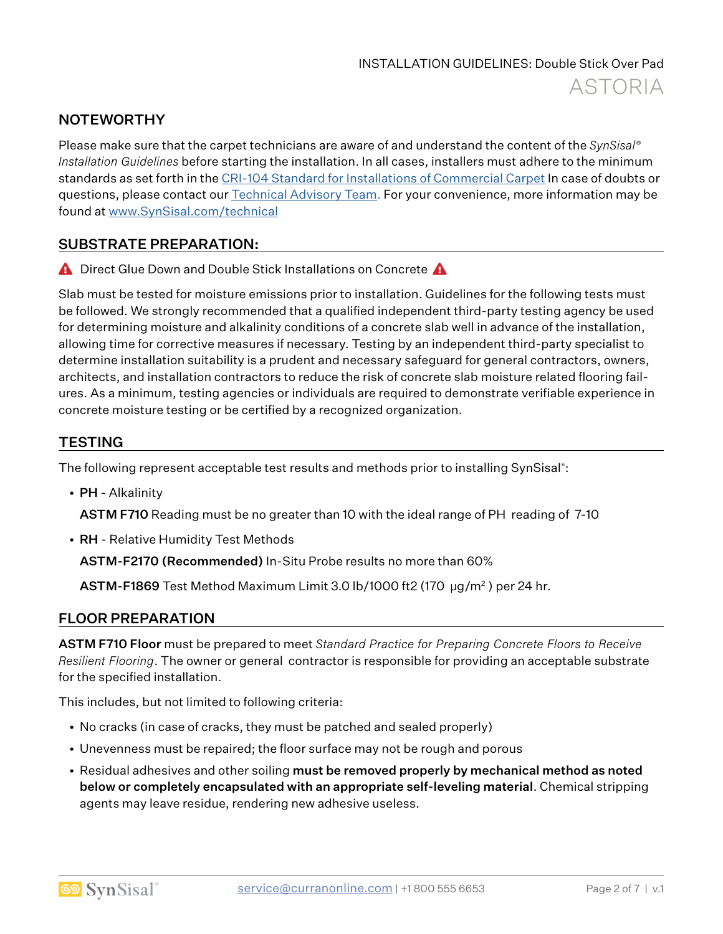# **NOTEWORTHY**

Please make sure that the carpet technicians are aware of and understand the content of the *SynSisal® Installation Guidelines* before starting the installation. In all cases, installers must adhere to the minimum standards as set forth in the CRI-104 Standard for Installations of Commercial Carpet In case of doubts or questions, please contact our **Technical Advisory Team.** For your convenience, more information may be found at www.SynSisal.com/technical

#### SUBSTRATE PREPARATION:

**A** Direct Glue Down and Double Stick Installations on Concrete **A** 

Slab must be tested for moisture emissions prior to installation. Guidelines for the following tests must be followed. We strongly recommended that a qualified independent third-party testing agency be used for determining moisture and alkalinity conditions of a concrete slab well in advance of the installation, allowing time for corrective measures if necessary. Testing by an independent third-party specialist to determine installation suitability is a prudent and necessary safeguard for general contractors, owners, architects, and installation contractors to reduce the risk of concrete slab moisture related flooring failures. As a minimum, testing agencies or individuals are required to demonstrate verifiable experience in concrete moisture testing or be certified by a recognized organization.

# **TESTING**

The following represent acceptable test results and methods prior to installing SynSisal® :

• PH - Alkalinity

ASTM F710 Reading must be no greater than 10 with the ideal range of PH reading of 7-10

• RH - Relative Humidity Test Methods

ASTM-F2170 (Recommended) In-Situ Probe results no more than 60%

ASTM-F1869 Test Method Maximum Limit 3.0 lb/1000 ft2 (170 µg/m2 ) per 24 hr.

#### FLOOR PREPARATION

ASTM F710 Floor must be prepared to meet *Standard Practice for Preparing Concrete Floors to Receive Resilient Flooring*. The owner or general contractor is responsible for providing an acceptable substrate for the specified installation.

This includes, but not limited to following criteria:

- No cracks (in case of cracks, they must be patched and sealed properly)
- Unevenness must be repaired; the floor surface may not be rough and porous
- Residual adhesives and other soiling must be removed properly by mechanical method as noted below or completely encapsulated with an appropriate self-leveling material. Chemical stripping agents may leave residue, rendering new adhesive useless.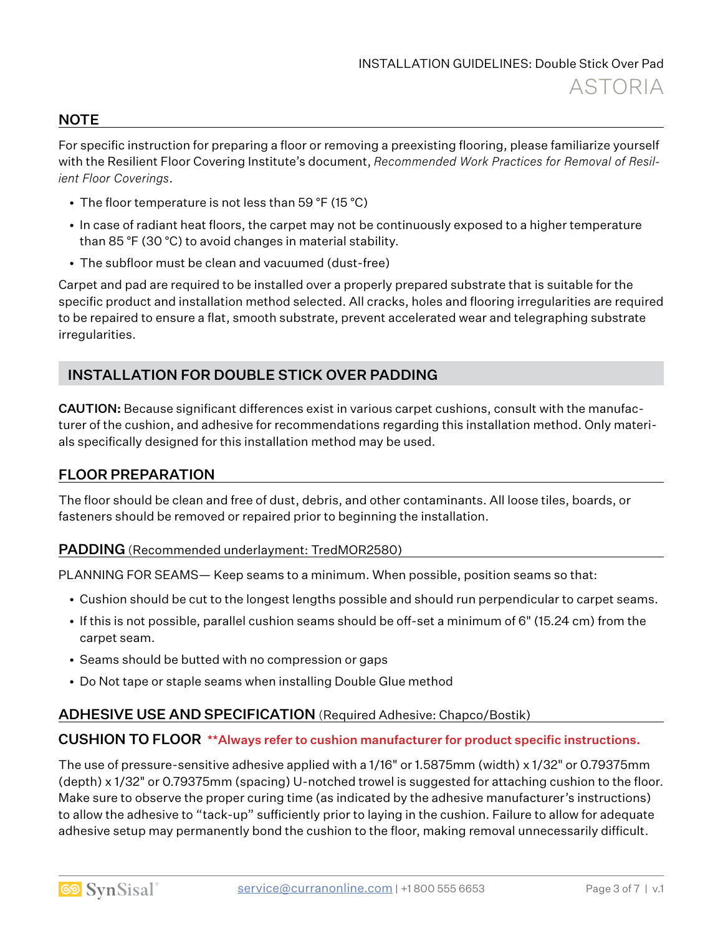#### **NOTE**

For specific instruction for preparing a floor or removing a preexisting flooring, please familiarize yourself with the Resilient Floor Covering Institute's document, *Recommended Work Practices for Removal of Resilient Floor Coverings*.

- The floor temperature is not less than 59 °F (15 °C)
- In case of radiant heat floors, the carpet may not be continuously exposed to a higher temperature than 85 °F (30 °C) to avoid changes in material stability.
- The subfloor must be clean and vacuumed (dust-free)

Carpet and pad are required to be installed over a properly prepared substrate that is suitable for the specific product and installation method selected. All cracks, holes and flooring irregularities are required to be repaired to ensure a flat, smooth substrate, prevent accelerated wear and telegraphing substrate irregularities.

# INSTALLATION FOR DOUBLE STICK OVER PADDING

CAUTION: Because significant differences exist in various carpet cushions, consult with the manufacturer of the cushion, and adhesive for recommendations regarding this installation method. Only materials specifically designed for this installation method may be used.

#### FLOOR PREPARATION

The floor should be clean and free of dust, debris, and other contaminants. All loose tiles, boards, or fasteners should be removed or repaired prior to beginning the installation.

#### PADDING (Recommended underlayment: TredMOR2580)

PLANNING FOR SEAMS— Keep seams to a minimum. When possible, position seams so that:

- Cushion should be cut to the longest lengths possible and should run perpendicular to carpet seams.
- If this is not possible, parallel cushion seams should be off-set a minimum of 6" (15.24 cm) from the carpet seam.
- Seams should be butted with no compression or gaps
- Do Not tape or staple seams when installing Double Glue method

#### ADHESIVE USE AND SPECIFICATION (Required Adhesive: Chapco/Bostik)

#### CUSHION TO FLOOR \*\*Always refer to cushion manufacturer for product specific instructions.

The use of pressure-sensitive adhesive applied with a 1/16" or 1.5875mm (width) x 1/32" or 0.79375mm (depth) x 1/32" or 0.79375mm (spacing) U-notched trowel is suggested for attaching cushion to the floor. Make sure to observe the proper curing time (as indicated by the adhesive manufacturer's instructions) to allow the adhesive to "tack-up" sufficiently prior to laying in the cushion. Failure to allow for adequate adhesive setup may permanently bond the cushion to the floor, making removal unnecessarily difficult.

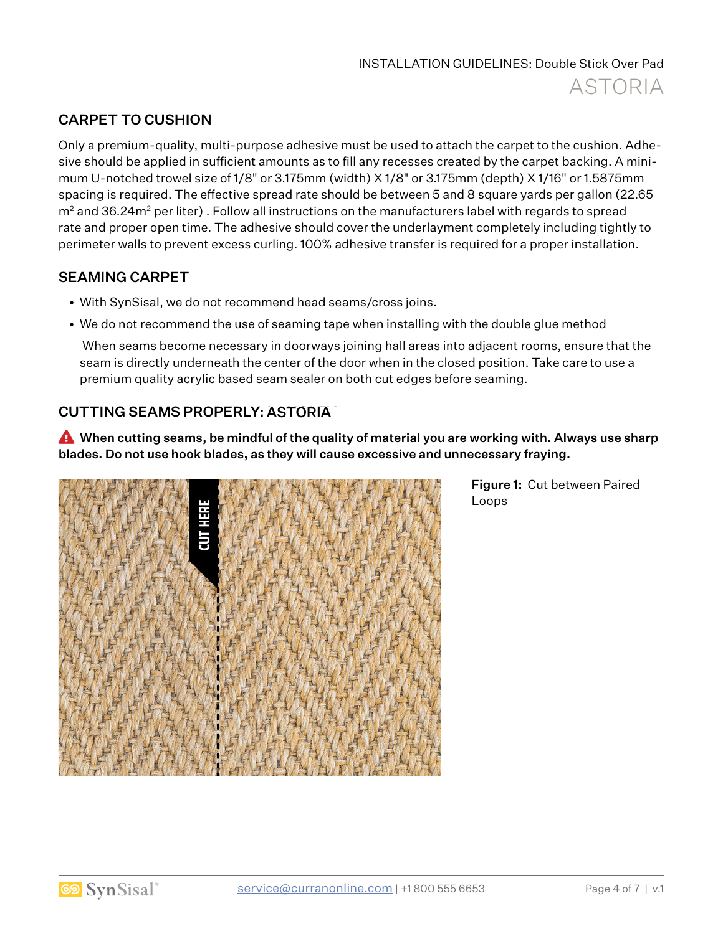# CARPET TO CUSHION

Only a premium-quality, multi-purpose adhesive must be used to attach the carpet to the cushion. Adhesive should be applied in sufficient amounts as to fill any recesses created by the carpet backing. A minimum U-notched trowel size of 1/8" or 3.175mm (width) X 1/8" or 3.175mm (depth) X 1/16" or 1.5875mm spacing is required. The effective spread rate should be between 5 and 8 square yards per gallon (22.65  $m<sup>2</sup>$  and 36.24 $m<sup>2</sup>$  per liter). Follow all instructions on the manufacturers label with regards to spread rate and proper open time. The adhesive should cover the underlayment completely including tightly to perimeter walls to prevent excess curling. 100% adhesive transfer is required for a proper installation.

#### SEAMING CARPET

- With SynSisal, we do not recommend head seams/cross joins.
- We do not recommend the use of seaming tape when installing with the double glue method

 When seams become necessary in doorways joining hall areas into adjacent rooms, ensure that the seam is directly underneath the center of the door when in the closed position. Take care to use a premium quality acrylic based seam sealer on both cut edges before seaming.

# <u>CUTTING SEAMS PROPERLY: ASTORIA</u>

� When cutting seams, be mindful of the quality of material you are working with. Always use sharp blades. Do not use hook blades, as they will cause excessive and unnecessary fraying.



Figure 1: Cut between Paired Loops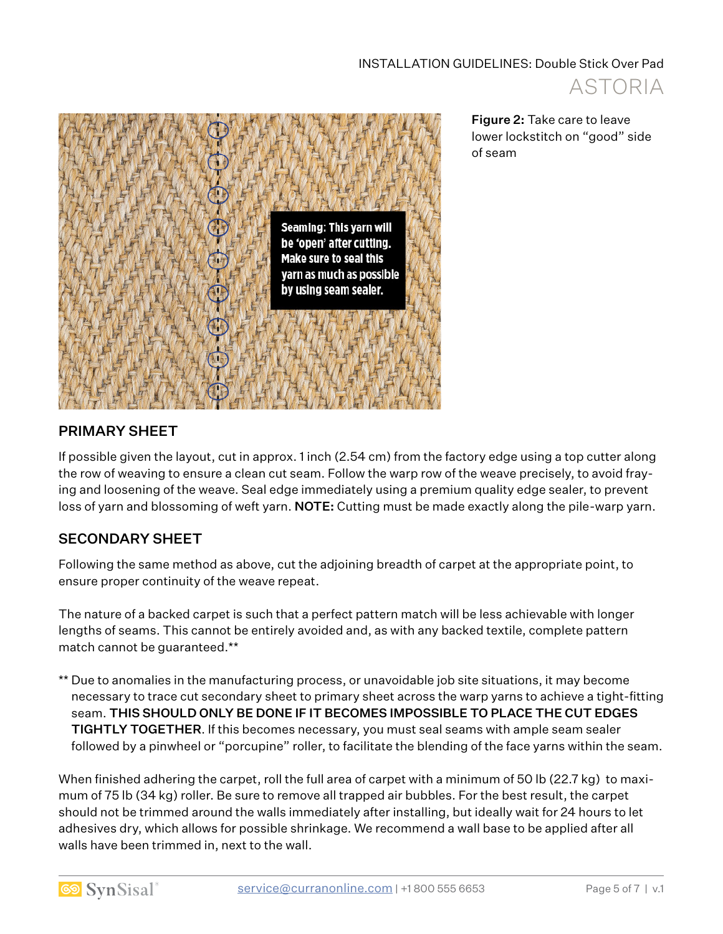

Figure 2: Take care to leave lower lockstitch on "good" side of seam

# PRIMARY SHEET

If possible given the layout, cut in approx. 1 inch (2.54 cm) from the factory edge using a top cutter along the row of weaving to ensure a clean cut seam. Follow the warp row of the weave precisely, to avoid fraying and loosening of the weave. Seal edge immediately using a premium quality edge sealer, to prevent loss of yarn and blossoming of weft yarn. NOTE: Cutting must be made exactly along the pile-warp yarn.

# SECONDARY SHEET

Following the same method as above, cut the adjoining breadth of carpet at the appropriate point, to ensure proper continuity of the weave repeat.

The nature of a backed carpet is such that a perfect pattern match will be less achievable with longer lengths of seams. This cannot be entirely avoided and, as with any backed textile, complete pattern match cannot be guaranteed.\*\*

\*\* Due to anomalies in the manufacturing process, or unavoidable job site situations, it may become necessary to trace cut secondary sheet to primary sheet across the warp yarns to achieve a tight-fitting seam. THIS SHOULD ONLY BE DONE IF IT BECOMES IMPOSSIBLE TO PLACE THE CUT EDGES TIGHTLY TOGETHER. If this becomes necessary, you must seal seams with ample seam sealer followed by a pinwheel or "porcupine" roller, to facilitate the blending of the face yarns within the seam.

When finished adhering the carpet, roll the full area of carpet with a minimum of 50 lb (22.7 kg) to maximum of 75 lb (34 kg) roller. Be sure to remove all trapped air bubbles. For the best result, the carpet should not be trimmed around the walls immediately after installing, but ideally wait for 24 hours to let adhesives dry, which allows for possible shrinkage. We recommend a wall base to be applied after all walls have been trimmed in, next to the wall.

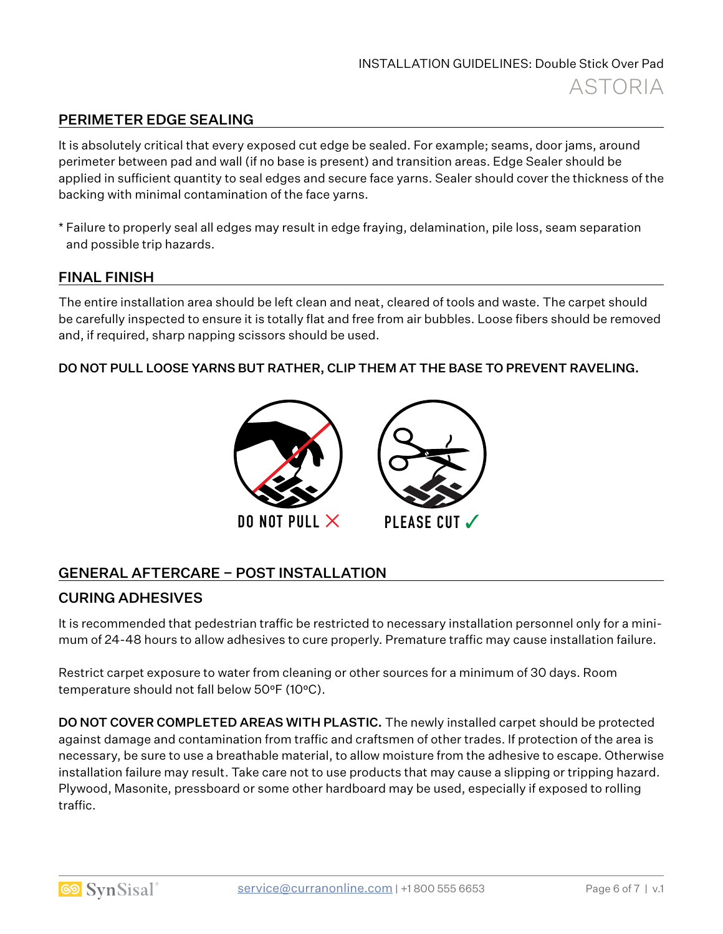# PERIMETER EDGE SEALING

It is absolutely critical that every exposed cut edge be sealed. For example; seams, door jams, around perimeter between pad and wall (if no base is present) and transition areas. Edge Sealer should be applied in sufficient quantity to seal edges and secure face yarns. Sealer should cover the thickness of the backing with minimal contamination of the face yarns.

\* Failure to properly seal all edges may result in edge fraying, delamination, pile loss, seam separation and possible trip hazards.

#### FINAL FINISH

The entire installation area should be left clean and neat, cleared of tools and waste. The carpet should be carefully inspected to ensure it is totally flat and free from air bubbles. Loose fibers should be removed and, if required, sharp napping scissors should be used.

#### DO NOT PULL LOOSE YARNS BUT RATHER, CLIP THEM AT THE BASE TO PREVENT RAVELING.



# GENERAL AFTERCARE – POST INSTALLATION

#### CURING ADHESIVES

It is recommended that pedestrian traffic be restricted to necessary installation personnel only for a minimum of 24-48 hours to allow adhesives to cure properly. Premature traffic may cause installation failure.

Restrict carpet exposure to water from cleaning or other sources for a minimum of 30 days. Room temperature should not fall below 50°F (10°C).

**DO NOT COVER COMPLETED AREAS WITH PLASTIC.** The newly installed carpet should be protected against damage and contamination from traffic and craftsmen of other trades. If protection of the area is necessary, be sure to use a breathable material, to allow moisture from the adhesive to escape. Otherwise installation failure may result. Take care not to use products that may cause a slipping or tripping hazard. Plywood, Masonite, pressboard or some other hardboard may be used, especially if exposed to rolling traffic.